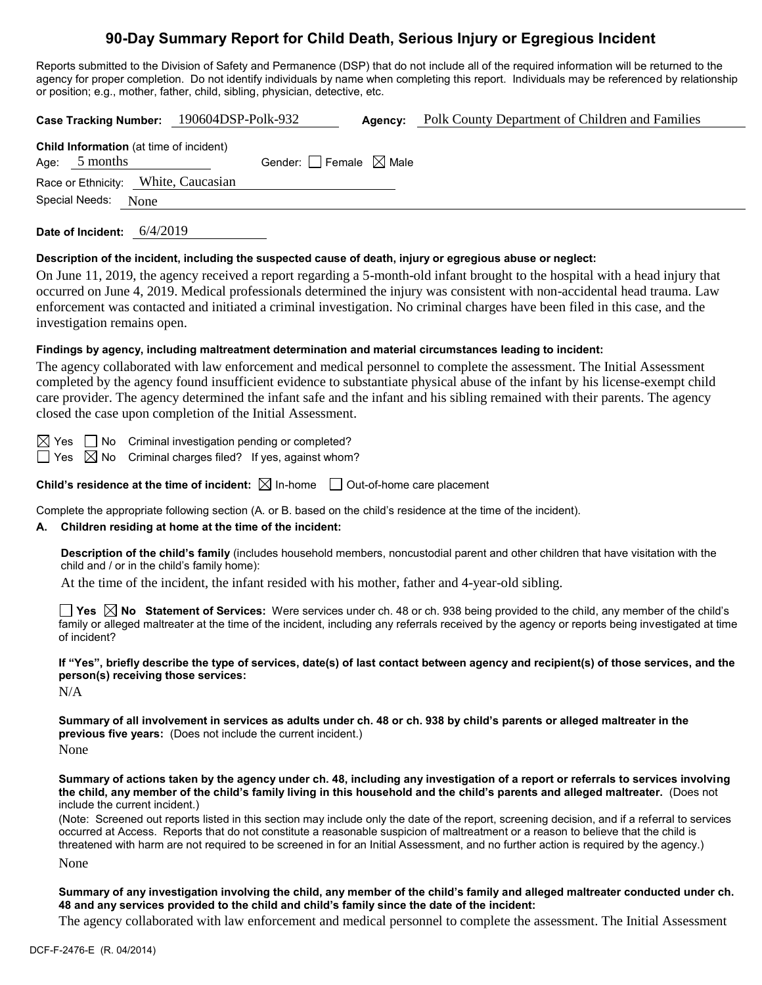# **90-Day Summary Report for Child Death, Serious Injury or Egregious Incident**

Reports submitted to the Division of Safety and Permanence (DSP) that do not include all of the required information will be returned to the agency for proper completion. Do not identify individuals by name when completing this report. Individuals may be referenced by relationship or position; e.g., mother, father, child, sibling, physician, detective, etc.

|                                                                   |  | Case Tracking Number: 190604DSP-Polk-932 |                                        | Agency: | Polk County Department of Children and Families |  |  |
|-------------------------------------------------------------------|--|------------------------------------------|----------------------------------------|---------|-------------------------------------------------|--|--|
| <b>Child Information</b> (at time of incident)<br>Age: $5$ months |  |                                          | Gender: $\Box$ Female $\boxtimes$ Male |         |                                                 |  |  |
| Race or Ethnicity: White, Caucasian                               |  |                                          |                                        |         |                                                 |  |  |
| Special Needs: None                                               |  |                                          |                                        |         |                                                 |  |  |
|                                                                   |  |                                          |                                        |         |                                                 |  |  |

**Date of Incident:** 6/4/2019

#### **Description of the incident, including the suspected cause of death, injury or egregious abuse or neglect:**

On June 11, 2019, the agency received a report regarding a 5-month-old infant brought to the hospital with a head injury that occurred on June 4, 2019. Medical professionals determined the injury was consistent with non-accidental head trauma. Law enforcement was contacted and initiated a criminal investigation. No criminal charges have been filed in this case, and the investigation remains open.

#### **Findings by agency, including maltreatment determination and material circumstances leading to incident:**

The agency collaborated with law enforcement and medical personnel to complete the assessment. The Initial Assessment completed by the agency found insufficient evidence to substantiate physical abuse of the infant by his license-exempt child care provider. The agency determined the infant safe and the infant and his sibling remained with their parents. The agency closed the case upon completion of the Initial Assessment.

 $\boxtimes$  Yes  $\Box$  No Criminal investigation pending or completed?  $\exists$  Yes  $\boxtimes$  No  $\,$  Criminal charges filed? If yes, against whom?

**Child's residence at the time of incident:**  $\boxtimes$  In-home  $\Box$  Out-of-home care placement

Complete the appropriate following section (A. or B. based on the child's residence at the time of the incident).

#### **A. Children residing at home at the time of the incident:**

**Description of the child's family** (includes household members, noncustodial parent and other children that have visitation with the child and / or in the child's family home):

At the time of the incident, the infant resided with his mother, father and 4-year-old sibling.

**Yes No Statement of Services:** Were services under ch. 48 or ch. 938 being provided to the child, any member of the child's family or alleged maltreater at the time of the incident, including any referrals received by the agency or reports being investigated at time of incident?

**If "Yes", briefly describe the type of services, date(s) of last contact between agency and recipient(s) of those services, and the person(s) receiving those services:**

N/A

**Summary of all involvement in services as adults under ch. 48 or ch. 938 by child's parents or alleged maltreater in the previous five years:** (Does not include the current incident.)

None

**Summary of actions taken by the agency under ch. 48, including any investigation of a report or referrals to services involving the child, any member of the child's family living in this household and the child's parents and alleged maltreater.** (Does not include the current incident.)

(Note: Screened out reports listed in this section may include only the date of the report, screening decision, and if a referral to services occurred at Access. Reports that do not constitute a reasonable suspicion of maltreatment or a reason to believe that the child is threatened with harm are not required to be screened in for an Initial Assessment, and no further action is required by the agency.)

None

**Summary of any investigation involving the child, any member of the child's family and alleged maltreater conducted under ch. 48 and any services provided to the child and child's family since the date of the incident:**

The agency collaborated with law enforcement and medical personnel to complete the assessment. The Initial Assessment